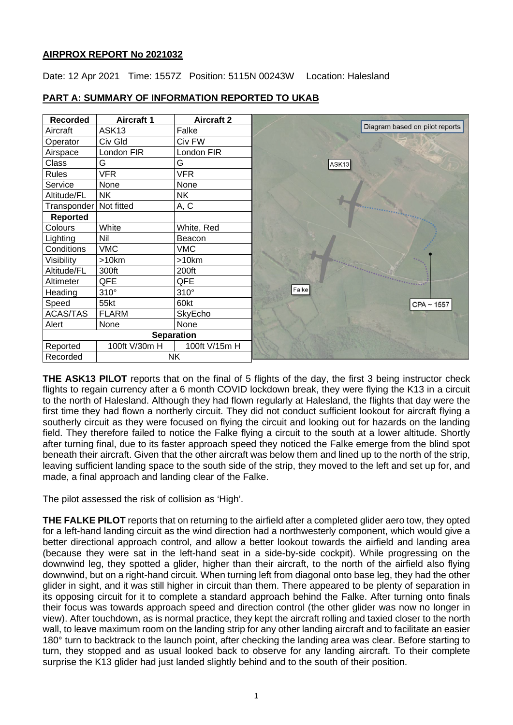# **AIRPROX REPORT No 2021032**

Date: 12 Apr 2021 Time: 1557Z Position: 5115N 00243W Location: Halesland

| <b>Recorded</b>   | <b>Aircraft 1</b> | <b>Aircraft 2</b> |                                |
|-------------------|-------------------|-------------------|--------------------------------|
| Aircraft          | ASK <sub>13</sub> | Falke             | Diagram based on pilot reports |
| Operator          | Civ Gld           | Civ FW            |                                |
| Airspace          | London FIR        | London FIR        |                                |
| Class             | G                 | G                 | ASK13                          |
| <b>Rules</b>      | <b>VFR</b>        | <b>VFR</b>        |                                |
| Service           | None              | None              |                                |
| Altitude/FL       | NΚ                | NΚ                |                                |
| Transponder       | Not fitted        | A, C              |                                |
| <b>Reported</b>   |                   |                   |                                |
| Colours           | White             | White, Red        |                                |
| Lighting          | Nil               | Beacon            |                                |
| Conditions        | <b>VMC</b>        | <b>VMC</b>        |                                |
| Visibility        | >10km             | $>10$ km          |                                |
| Altitude/FL       | 300ft             | 200ft             |                                |
| Altimeter         | QFE               | QFE               |                                |
| Heading           | $310^\circ$       | $310^\circ$       | Falke                          |
| Speed             | 55kt              | 60kt              | $CPA \sim 1557$                |
| ACAS/TAS          | <b>FLARM</b>      | SkyEcho           |                                |
| Alert             | None              | None              |                                |
| <b>Separation</b> |                   |                   |                                |
| Reported          | 100ft V/30m H     | 100ft V/15m H     |                                |
| Recorded          |                   | <b>NK</b>         |                                |

# **PART A: SUMMARY OF INFORMATION REPORTED TO UKAB**

**THE ASK13 PILOT** reports that on the final of 5 flights of the day, the first 3 being instructor check flights to regain currency after a 6 month COVID lockdown break, they were flying the K13 in a circuit to the north of Halesland. Although they had flown regularly at Halesland, the flights that day were the first time they had flown a northerly circuit. They did not conduct sufficient lookout for aircraft flying a southerly circuit as they were focused on flying the circuit and looking out for hazards on the landing field. They therefore failed to notice the Falke flying a circuit to the south at a lower altitude. Shortly after turning final, due to its faster approach speed they noticed the Falke emerge from the blind spot beneath their aircraft. Given that the other aircraft was below them and lined up to the north of the strip, leaving sufficient landing space to the south side of the strip, they moved to the left and set up for, and made, a final approach and landing clear of the Falke.

The pilot assessed the risk of collision as 'High'.

**THE FALKE PILOT** reports that on returning to the airfield after a completed glider aero tow, they opted for a left-hand landing circuit as the wind direction had a northwesterly component, which would give a better directional approach control, and allow a better lookout towards the airfield and landing area (because they were sat in the left-hand seat in a side-by-side cockpit). While progressing on the downwind leg, they spotted a glider, higher than their aircraft, to the north of the airfield also flying downwind, but on a right-hand circuit. When turning left from diagonal onto base leg, they had the other glider in sight, and it was still higher in circuit than them. There appeared to be plenty of separation in its opposing circuit for it to complete a standard approach behind the Falke. After turning onto finals their focus was towards approach speed and direction control (the other glider was now no longer in view). After touchdown, as is normal practice, they kept the aircraft rolling and taxied closer to the north wall, to leave maximum room on the landing strip for any other landing aircraft and to facilitate an easier 180° turn to backtrack to the launch point, after checking the landing area was clear. Before starting to turn, they stopped and as usual looked back to observe for any landing aircraft. To their complete surprise the K13 glider had just landed slightly behind and to the south of their position.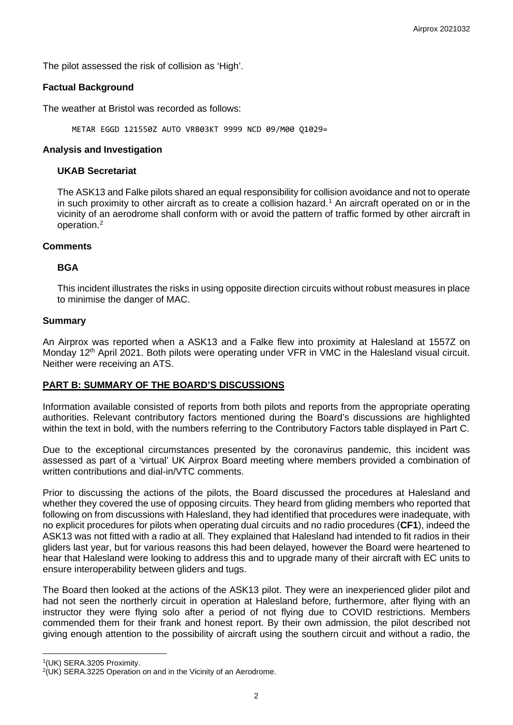The pilot assessed the risk of collision as 'High'.

# **Factual Background**

The weather at Bristol was recorded as follows:

METAR EGGD 121550Z AUTO VRB03KT 9999 NCD 09/M00 Q1029=

## **Analysis and Investigation**

## **UKAB Secretariat**

The ASK13 and Falke pilots shared an equal responsibility for collision avoidance and not to operate in such proximity to other aircraft as to create a collision hazard. [1](#page-1-0) An aircraft operated on or in the vicinity of an aerodrome shall conform with or avoid the pattern of traffic formed by other aircraft in operation. [2](#page-1-1)

#### **Comments**

# **BGA**

This incident illustrates the risks in using opposite direction circuits without robust measures in place to minimise the danger of MAC.

#### **Summary**

An Airprox was reported when a ASK13 and a Falke flew into proximity at Halesland at 1557Z on Monday 12<sup>th</sup> April 2021. Both pilots were operating under VFR in VMC in the Halesland visual circuit. Neither were receiving an ATS.

# **PART B: SUMMARY OF THE BOARD'S DISCUSSIONS**

Information available consisted of reports from both pilots and reports from the appropriate operating authorities. Relevant contributory factors mentioned during the Board's discussions are highlighted within the text in bold, with the numbers referring to the Contributory Factors table displayed in Part C.

Due to the exceptional circumstances presented by the coronavirus pandemic, this incident was assessed as part of a 'virtual' UK Airprox Board meeting where members provided a combination of written contributions and dial-in/VTC comments.

Prior to discussing the actions of the pilots, the Board discussed the procedures at Halesland and whether they covered the use of opposing circuits. They heard from gliding members who reported that following on from discussions with Halesland, they had identified that procedures were inadequate, with no explicit procedures for pilots when operating dual circuits and no radio procedures (**CF1**), indeed the ASK13 was not fitted with a radio at all. They explained that Halesland had intended to fit radios in their gliders last year, but for various reasons this had been delayed, however the Board were heartened to hear that Halesland were looking to address this and to upgrade many of their aircraft with EC units to ensure interoperability between gliders and tugs.

The Board then looked at the actions of the ASK13 pilot. They were an inexperienced glider pilot and had not seen the northerly circuit in operation at Halesland before, furthermore, after flying with an instructor they were flying solo after a period of not flying due to COVID restrictions. Members commended them for their frank and honest report. By their own admission, the pilot described not giving enough attention to the possibility of aircraft using the southern circuit and without a radio, the

<span id="page-1-0"></span><sup>1(</sup>UK) SERA.3205 Proximity.

<span id="page-1-1"></span> $2(UK)$  SERA.3225 Operation on and in the Vicinity of an Aerodrome.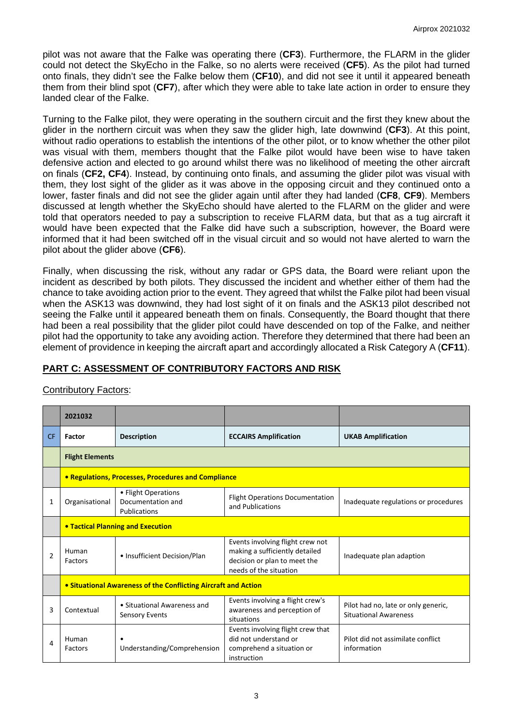pilot was not aware that the Falke was operating there (**CF3**). Furthermore, the FLARM in the glider could not detect the SkyEcho in the Falke, so no alerts were received (**CF5**). As the pilot had turned onto finals, they didn't see the Falke below them (**CF10**), and did not see it until it appeared beneath them from their blind spot (**CF7**), after which they were able to take late action in order to ensure they landed clear of the Falke.

Turning to the Falke pilot, they were operating in the southern circuit and the first they knew about the glider in the northern circuit was when they saw the glider high, late downwind (**CF3**). At this point, without radio operations to establish the intentions of the other pilot, or to know whether the other pilot was visual with them, members thought that the Falke pilot would have been wise to have taken defensive action and elected to go around whilst there was no likelihood of meeting the other aircraft on finals (**CF2, CF4**). Instead, by continuing onto finals, and assuming the glider pilot was visual with them, they lost sight of the glider as it was above in the opposing circuit and they continued onto a lower, faster finals and did not see the glider again until after they had landed (**CF8**, **CF9**). Members discussed at length whether the SkyEcho should have alerted to the FLARM on the glider and were told that operators needed to pay a subscription to receive FLARM data, but that as a tug aircraft it would have been expected that the Falke did have such a subscription, however, the Board were informed that it had been switched off in the visual circuit and so would not have alerted to warn the pilot about the glider above (**CF6**).

Finally, when discussing the risk, without any radar or GPS data, the Board were reliant upon the incident as described by both pilots. They discussed the incident and whether either of them had the chance to take avoiding action prior to the event. They agreed that whilst the Falke pilot had been visual when the ASK13 was downwind, they had lost sight of it on finals and the ASK13 pilot described not seeing the Falke until it appeared beneath them on finals. Consequently, the Board thought that there had been a real possibility that the glider pilot could have descended on top of the Falke, and neither pilot had the opportunity to take any avoiding action. Therefore they determined that there had been an element of providence in keeping the aircraft apart and accordingly allocated a Risk Category A (**CF11**).

# **PART C: ASSESSMENT OF CONTRIBUTORY FACTORS AND RISK**

| <b>Contributory Factors:</b> |
|------------------------------|
|------------------------------|

|                | 2021032                                                        |                                                          |                                                                                                                                                            |                                                                     |  |  |
|----------------|----------------------------------------------------------------|----------------------------------------------------------|------------------------------------------------------------------------------------------------------------------------------------------------------------|---------------------------------------------------------------------|--|--|
| <b>CF</b>      | Factor                                                         | <b>Description</b>                                       | <b>ECCAIRS Amplification</b>                                                                                                                               | <b>UKAB Amplification</b>                                           |  |  |
|                | <b>Flight Elements</b>                                         |                                                          |                                                                                                                                                            |                                                                     |  |  |
|                | • Regulations, Processes, Procedures and Compliance            |                                                          |                                                                                                                                                            |                                                                     |  |  |
| 1              | Organisational                                                 | • Flight Operations<br>Documentation and<br>Publications | <b>Flight Operations Documentation</b><br>and Publications                                                                                                 | Inadequate regulations or procedures                                |  |  |
|                | <b>• Tactical Planning and Execution</b>                       |                                                          |                                                                                                                                                            |                                                                     |  |  |
| $\overline{2}$ | Human<br>Factors                                               | • Insufficient Decision/Plan                             | Events involving flight crew not<br>making a sufficiently detailed<br>decision or plan to meet the<br>needs of the situation                               | Inadequate plan adaption                                            |  |  |
|                | • Situational Awareness of the Conflicting Aircraft and Action |                                                          |                                                                                                                                                            |                                                                     |  |  |
| 3              | Contextual                                                     | • Situational Awareness and<br><b>Sensory Events</b>     | Events involving a flight crew's<br>awareness and perception of<br>situations                                                                              | Pilot had no, late or only generic,<br><b>Situational Awareness</b> |  |  |
| 4              | Human<br>Factors                                               | Understanding/Comprehension                              | Events involving flight crew that<br>did not understand or<br>Pilot did not assimilate conflict<br>information<br>comprehend a situation or<br>instruction |                                                                     |  |  |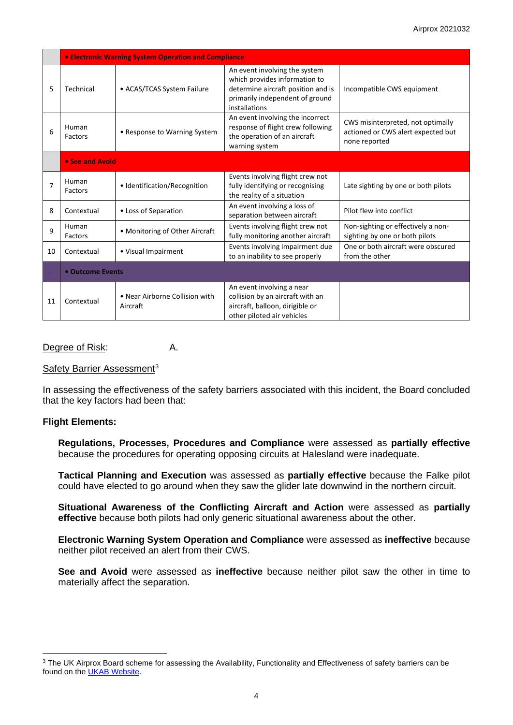|    | <b>• Electronic Warning System Operation and Compliance</b> |                                            |                                                                                                                                                          |                                                                                          |  |  |
|----|-------------------------------------------------------------|--------------------------------------------|----------------------------------------------------------------------------------------------------------------------------------------------------------|------------------------------------------------------------------------------------------|--|--|
| 5  | Technical                                                   | • ACAS/TCAS System Failure                 | An event involving the system<br>which provides information to<br>determine aircraft position and is<br>primarily independent of ground<br>installations | Incompatible CWS equipment                                                               |  |  |
| 6  | Human<br>Factors                                            | • Response to Warning System               | An event involving the incorrect<br>response of flight crew following<br>the operation of an aircraft<br>warning system                                  | CWS misinterpreted, not optimally<br>actioned or CWS alert expected but<br>none reported |  |  |
|    | • See and Avoid                                             |                                            |                                                                                                                                                          |                                                                                          |  |  |
| 7  | Human<br>Factors                                            | • Identification/Recognition               | Events involving flight crew not<br>fully identifying or recognising<br>the reality of a situation                                                       | Late sighting by one or both pilots                                                      |  |  |
| 8  | Contextual                                                  | • Loss of Separation                       | An event involving a loss of<br>separation between aircraft                                                                                              | Pilot flew into conflict                                                                 |  |  |
| 9  | Human<br>Factors                                            | • Monitoring of Other Aircraft             | Events involving flight crew not<br>fully monitoring another aircraft                                                                                    | Non-sighting or effectively a non-<br>sighting by one or both pilots                     |  |  |
| 10 | Contextual                                                  | • Visual Impairment                        | Events involving impairment due<br>to an inability to see properly                                                                                       | One or both aircraft were obscured<br>from the other                                     |  |  |
|    | • Outcome Events                                            |                                            |                                                                                                                                                          |                                                                                          |  |  |
| 11 | Contextual                                                  | • Near Airborne Collision with<br>Aircraft | An event involving a near<br>collision by an aircraft with an<br>aircraft, balloon, dirigible or<br>other piloted air vehicles                           |                                                                                          |  |  |

#### Degree of Risk: A.

#### Safety Barrier Assessment<sup>[3](#page-3-0)</sup>

In assessing the effectiveness of the safety barriers associated with this incident, the Board concluded that the key factors had been that:

#### **Flight Elements:**

**Regulations, Processes, Procedures and Compliance** were assessed as **partially effective** because the procedures for operating opposing circuits at Halesland were inadequate.

**Tactical Planning and Execution** was assessed as **partially effective** because the Falke pilot could have elected to go around when they saw the glider late downwind in the northern circuit.

**Situational Awareness of the Conflicting Aircraft and Action** were assessed as **partially effective** because both pilots had only generic situational awareness about the other.

**Electronic Warning System Operation and Compliance** were assessed as **ineffective** because neither pilot received an alert from their CWS.

**See and Avoid** were assessed as **ineffective** because neither pilot saw the other in time to materially affect the separation.

<span id="page-3-0"></span><sup>&</sup>lt;sup>3</sup> The UK Airprox Board scheme for assessing the Availability, Functionality and Effectiveness of safety barriers can be found on the [UKAB Website.](http://www.airproxboard.org.uk/Learn-more/Airprox-Barrier-Assessment/)